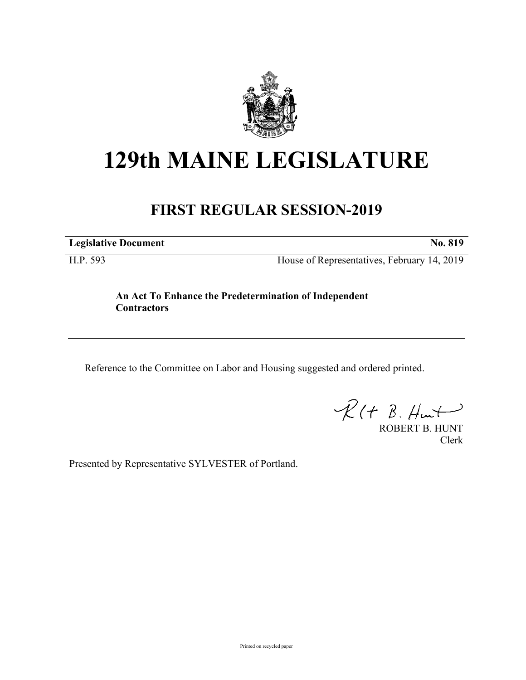

## **129th MAINE LEGISLATURE**

## **FIRST REGULAR SESSION-2019**

**Legislative Document No. 819**

H.P. 593 House of Representatives, February 14, 2019

**An Act To Enhance the Predetermination of Independent Contractors**

Reference to the Committee on Labor and Housing suggested and ordered printed.

 $R(H B. H +$ 

ROBERT B. HUNT Clerk

Presented by Representative SYLVESTER of Portland.